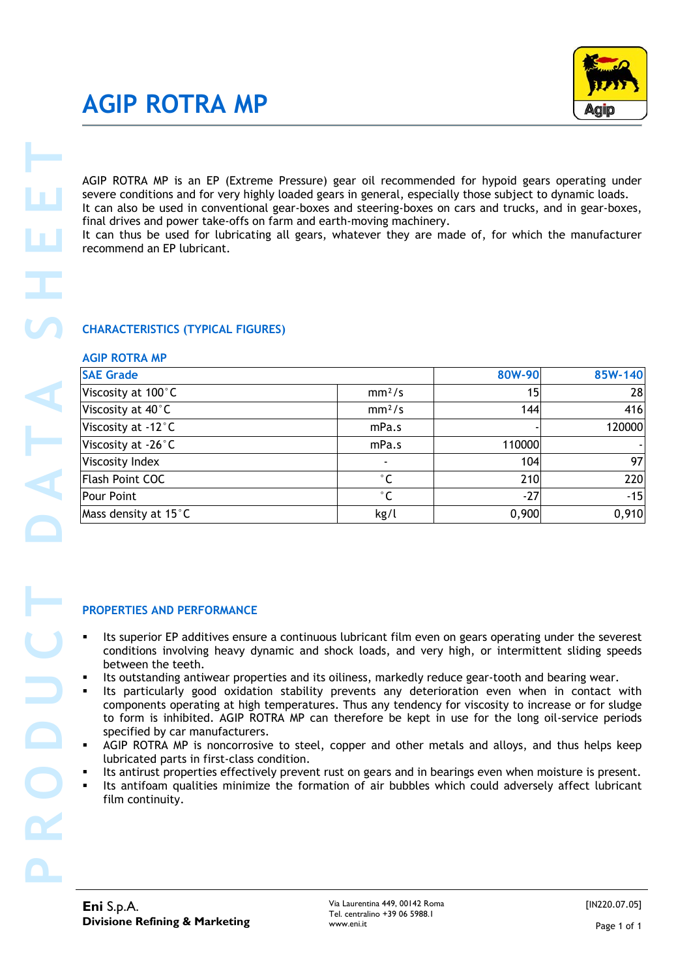## **AGIP ROTRA MP**



### **CHARACTERISTICS (TYPICAL FIGURES)**

#### **AGIP ROTRA MP**

| AGIP ROTRA MP is an EP (Extreme Pressure) gear oil recommended for hypoid gears operating under                                                                                                                                                                                                                                                                                                                                                                                                                                                                                              |                     |        |         |
|----------------------------------------------------------------------------------------------------------------------------------------------------------------------------------------------------------------------------------------------------------------------------------------------------------------------------------------------------------------------------------------------------------------------------------------------------------------------------------------------------------------------------------------------------------------------------------------------|---------------------|--------|---------|
| severe conditions and for very highly loaded gears in general, especially those subject to dynamic loads.                                                                                                                                                                                                                                                                                                                                                                                                                                                                                    |                     |        |         |
| It can also be used in conventional gear-boxes and steering-boxes on cars and trucks, and in gear-boxes,                                                                                                                                                                                                                                                                                                                                                                                                                                                                                     |                     |        |         |
| final drives and power take-offs on farm and earth-moving machinery.                                                                                                                                                                                                                                                                                                                                                                                                                                                                                                                         |                     |        |         |
| It can thus be used for lubricating all gears, whatever they are made of, for which the manufacturer<br>recommend an EP lubricant.                                                                                                                                                                                                                                                                                                                                                                                                                                                           |                     |        |         |
|                                                                                                                                                                                                                                                                                                                                                                                                                                                                                                                                                                                              |                     |        |         |
|                                                                                                                                                                                                                                                                                                                                                                                                                                                                                                                                                                                              |                     |        |         |
|                                                                                                                                                                                                                                                                                                                                                                                                                                                                                                                                                                                              |                     |        |         |
| <b>CHARACTERISTICS (TYPICAL FIGURES)</b>                                                                                                                                                                                                                                                                                                                                                                                                                                                                                                                                                     |                     |        |         |
| <b>AGIP ROTRA MP</b><br><b>SAE Grade</b>                                                                                                                                                                                                                                                                                                                                                                                                                                                                                                                                                     |                     | 80W-90 | 85W-140 |
| Viscosity at 100°C                                                                                                                                                                                                                                                                                                                                                                                                                                                                                                                                                                           | mm <sup>2</sup> /s  | 15     |         |
| Viscosity at 40°C                                                                                                                                                                                                                                                                                                                                                                                                                                                                                                                                                                            | mm <sup>2</sup> /s  | 144    |         |
| Viscosity at -12°C                                                                                                                                                                                                                                                                                                                                                                                                                                                                                                                                                                           | mPa.s               |        | 120000  |
| Viscosity at -26°C                                                                                                                                                                                                                                                                                                                                                                                                                                                                                                                                                                           | mPa.s               | 110000 |         |
| Viscosity Index                                                                                                                                                                                                                                                                                                                                                                                                                                                                                                                                                                              |                     | 104    |         |
| Flash Point COC                                                                                                                                                                                                                                                                                                                                                                                                                                                                                                                                                                              | $^\circ \mathsf{C}$ | 210    |         |
| Pour Point                                                                                                                                                                                                                                                                                                                                                                                                                                                                                                                                                                                   | $\degree$ C         | $-27$  |         |
| Mass density at 15°C                                                                                                                                                                                                                                                                                                                                                                                                                                                                                                                                                                         | kg/l                | 0,900  |         |
| <b>PROPERTIES AND PERFORMANCE</b><br>Its superior EP additives ensure a continuous lubricant film even on gears operating under the severest<br>conditions involving heavy dynamic and shock loads, and very high, or intermittent sliding speeds<br>between the teeth.<br>Its outstanding antiwear properties and its oiliness, markedly reduce gear-tooth and bearing wear.<br>Its particularly good oxidation stability prevents any deterioration even when in contact with<br>٠<br>components operating at high temperatures. Thus any tendency for viscosity to increase or for sludge |                     |        |         |
| to form is inhibited. AGIP ROTRA MP can therefore be kept in use for the long oil-service periods<br>specified by car manufacturers.<br>AGIP ROTRA MP is noncorrosive to steel, copper and other metals and alloys, and thus helps keep<br>lubricated parts in first-class condition.                                                                                                                                                                                                                                                                                                        |                     |        |         |
| Its antirust properties effectively prevent rust on gears and in bearings even when moisture is present.<br>Its antifoam qualities minimize the formation of air bubbles which could adversely affect lubricant<br>film continuity.                                                                                                                                                                                                                                                                                                                                                          |                     |        |         |
|                                                                                                                                                                                                                                                                                                                                                                                                                                                                                                                                                                                              |                     |        |         |
|                                                                                                                                                                                                                                                                                                                                                                                                                                                                                                                                                                                              |                     |        |         |

#### **PROPERTIES AND PERFORMANCE**

- Its superior EP additives ensure a continuous lubricant film even on gears operating under the severest conditions involving heavy dynamic and shock loads, and very high, or intermittent sliding speeds between the teeth.
- Its outstanding antiwear properties and its oiliness, markedly reduce gear-tooth and bearing wear.
- Its particularly good oxidation stability prevents any deterioration even when in contact with components operating at high temperatures. Thus any tendency for viscosity to increase or for sludge to form is inhibited. AGIP ROTRA MP can therefore be kept in use for the long oil-service periods specified by car manufacturers.
- AGIP ROTRA MP is noncorrosive to steel, copper and other metals and alloys, and thus helps keep lubricated parts in first-class condition.
- Its antirust properties effectively prevent rust on gears and in bearings even when moisture is present.
- Its antifoam qualities minimize the formation of air bubbles which could adversely affect lubricant film continuity.